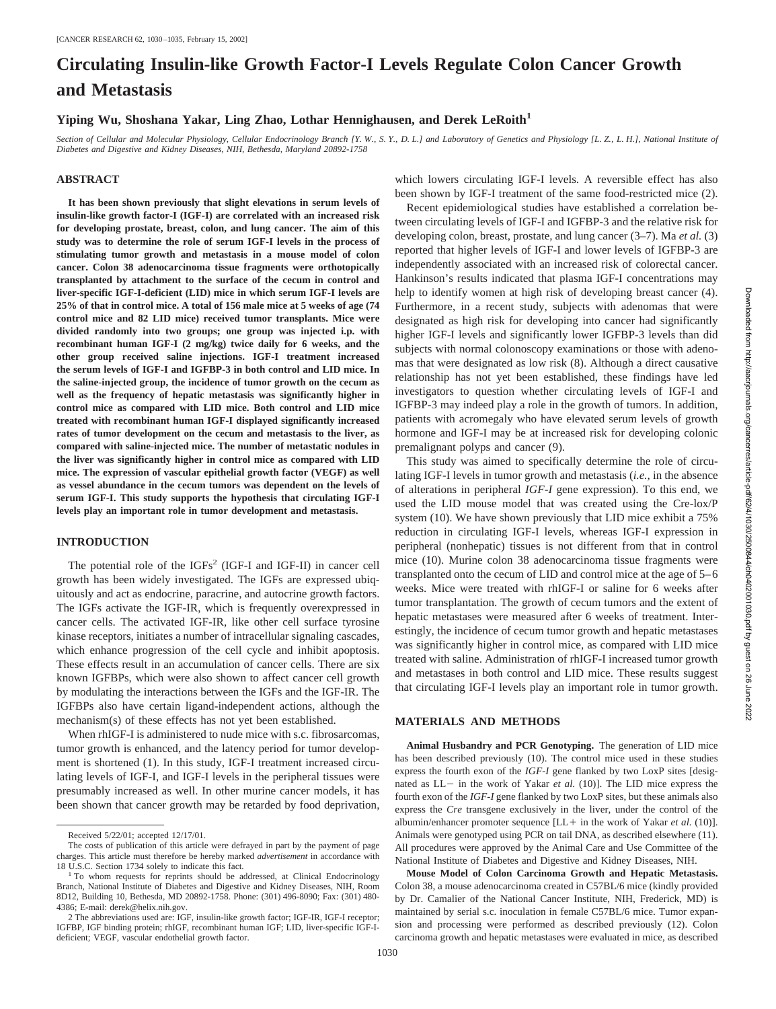# **Circulating Insulin-like Growth Factor-I Levels Regulate Colon Cancer Growth and Metastasis**

# **Yiping Wu, Shoshana Yakar, Ling Zhao, Lothar Hennighausen, and Derek LeRoith1**

*Section of Cellular and Molecular Physiology, Cellular Endocrinology Branch [Y. W., S. Y., D. L.] and Laboratory of Genetics and Physiology [L. Z., L. H.], National Institute of Diabetes and Digestive and Kidney Diseases, NIH, Bethesda, Maryland 20892-1758*

## **ABSTRACT**

**It has been shown previously that slight elevations in serum levels of insulin-like growth factor-I (IGF-I) are correlated with an increased risk for developing prostate, breast, colon, and lung cancer. The aim of this study was to determine the role of serum IGF-I levels in the process of stimulating tumor growth and metastasis in a mouse model of colon cancer. Colon 38 adenocarcinoma tissue fragments were orthotopically transplanted by attachment to the surface of the cecum in control and liver-specific IGF-I-deficient (LID) mice in which serum IGF-I levels are 25% of that in control mice. A total of 156 male mice at 5 weeks of age (74 control mice and 82 LID mice) received tumor transplants. Mice were divided randomly into two groups; one group was injected i.p. with recombinant human IGF-I (2 mg/kg) twice daily for 6 weeks, and the other group received saline injections. IGF-I treatment increased the serum levels of IGF-I and IGFBP-3 in both control and LID mice. In the saline-injected group, the incidence of tumor growth on the cecum as well as the frequency of hepatic metastasis was significantly higher in control mice as compared with LID mice. Both control and LID mice treated with recombinant human IGF-I displayed significantly increased rates of tumor development on the cecum and metastasis to the liver, as compared with saline-injected mice. The number of metastatic nodules in the liver was significantly higher in control mice as compared with LID mice. The expression of vascular epithelial growth factor (VEGF) as well as vessel abundance in the cecum tumors was dependent on the levels of serum IGF-I. This study supports the hypothesis that circulating IGF-I levels play an important role in tumor development and metastasis.**

#### **INTRODUCTION**

The potential role of the IGFs<sup>2</sup> (IGF-I and IGF-II) in cancer cell growth has been widely investigated. The IGFs are expressed ubiquitously and act as endocrine, paracrine, and autocrine growth factors. The IGFs activate the IGF-IR, which is frequently overexpressed in cancer cells. The activated IGF-IR, like other cell surface tyrosine kinase receptors, initiates a number of intracellular signaling cascades, which enhance progression of the cell cycle and inhibit apoptosis. These effects result in an accumulation of cancer cells. There are six known IGFBPs, which were also shown to affect cancer cell growth by modulating the interactions between the IGFs and the IGF-IR. The IGFBPs also have certain ligand-independent actions, although the mechanism(s) of these effects has not yet been established.

When rhIGF-I is administered to nude mice with s.c. fibrosarcomas, tumor growth is enhanced, and the latency period for tumor development is shortened (1). In this study, IGF-I treatment increased circulating levels of IGF-I, and IGF-I levels in the peripheral tissues were presumably increased as well. In other murine cancer models, it has been shown that cancer growth may be retarded by food deprivation, which lowers circulating IGF-I levels. A reversible effect has also been shown by IGF-I treatment of the same food-restricted mice (2).

Recent epidemiological studies have established a correlation between circulating levels of IGF-I and IGFBP-3 and the relative risk for developing colon, breast, prostate, and lung cancer (3–7). Ma *et al.* (3) reported that higher levels of IGF-I and lower levels of IGFBP-3 are independently associated with an increased risk of colorectal cancer. Hankinson's results indicated that plasma IGF-I concentrations may help to identify women at high risk of developing breast cancer (4). Furthermore, in a recent study, subjects with adenomas that were designated as high risk for developing into cancer had significantly higher IGF-I levels and significantly lower IGFBP-3 levels than did subjects with normal colonoscopy examinations or those with adenomas that were designated as low risk (8). Although a direct causative relationship has not yet been established, these findings have led investigators to question whether circulating levels of IGF-I and IGFBP-3 may indeed play a role in the growth of tumors. In addition, patients with acromegaly who have elevated serum levels of growth hormone and IGF-I may be at increased risk for developing colonic premalignant polyps and cancer (9).

This study was aimed to specifically determine the role of circulating IGF-I levels in tumor growth and metastasis (*i.e.,* in the absence of alterations in peripheral *IGF-I* gene expression). To this end, we used the LID mouse model that was created using the Cre-lox/P system (10). We have shown previously that LID mice exhibit a 75% reduction in circulating IGF-I levels, whereas IGF-I expression in peripheral (nonhepatic) tissues is not different from that in control mice (10). Murine colon 38 adenocarcinoma tissue fragments were transplanted onto the cecum of LID and control mice at the age of 5–6 weeks. Mice were treated with rhIGF-I or saline for 6 weeks after tumor transplantation. The growth of cecum tumors and the extent of hepatic metastases were measured after 6 weeks of treatment. Interestingly, the incidence of cecum tumor growth and hepatic metastases was significantly higher in control mice, as compared with LID mice treated with saline. Administration of rhIGF-I increased tumor growth and metastases in both control and LID mice. These results suggest that circulating IGF-I levels play an important role in tumor growth.

## **MATERIALS AND METHODS**

**Animal Husbandry and PCR Genotyping.** The generation of LID mice has been described previously (10). The control mice used in these studies express the fourth exon of the *IGF-I* gene flanked by two LoxP sites [designated as  $LL$  in the work of Yakar *et al.* (10)]. The LID mice express the fourth exon of the *IGF-I* gene flanked by two LoxP sites, but these animals also express the *Cre* transgene exclusively in the liver, under the control of the albumin/enhancer promoter sequence [LL+ in the work of Yakar *et al.* (10)]. Animals were genotyped using PCR on tail DNA, as described elsewhere (11). All procedures were approved by the Animal Care and Use Committee of the National Institute of Diabetes and Digestive and Kidney Diseases, NIH.

**Mouse Model of Colon Carcinoma Growth and Hepatic Metastasis.** Colon 38, a mouse adenocarcinoma created in C57BL/6 mice (kindly provided by Dr. Camalier of the National Cancer Institute, NIH, Frederick, MD) is maintained by serial s.c. inoculation in female C57BL/6 mice. Tumor expansion and processing were performed as described previously (12). Colon carcinoma growth and hepatic metastases were evaluated in mice, as described

Received 5/22/01; accepted 12/17/01.

The costs of publication of this article were defrayed in part by the payment of page charges. This article must therefore be hereby marked *advertisement* in accordance with 18 U.S.C. Section 1734 solely to indicate this fact.<br><sup>1</sup> To whom requests for reprints should be addressed, at Clinical Endocrinology

Branch, National Institute of Diabetes and Digestive and Kidney Diseases, NIH, Room 8D12, Building 10, Bethesda, MD 20892-1758. Phone: (301) 496-8090; Fax: (301) 480- 4386; E-mail: derek@helix.nih.gov.

<sup>2</sup> The abbreviations used are: IGF, insulin-like growth factor; IGF-IR, IGF-I receptor; IGFBP, IGF binding protein; rhIGF, recombinant human IGF; LID, liver-specific IGF-Ideficient; VEGF, vascular endothelial growth factor.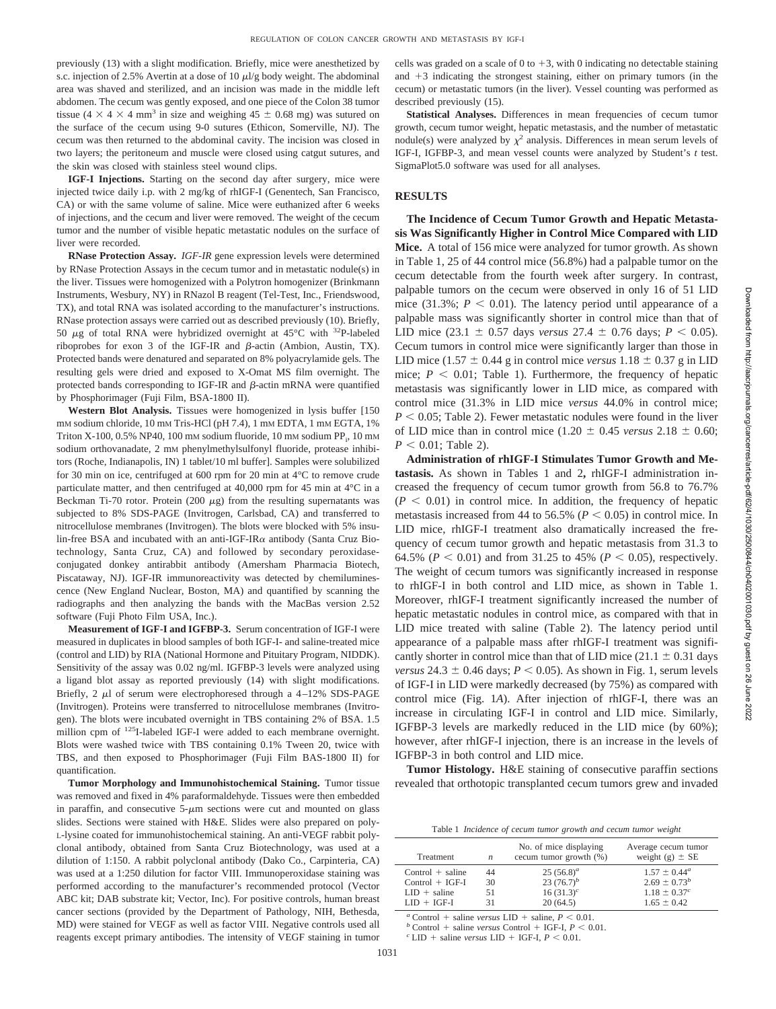previously (13) with a slight modification. Briefly, mice were anesthetized by s.c. injection of 2.5% Avertin at a dose of 10  $\mu$ l/g body weight. The abdominal area was shaved and sterilized, and an incision was made in the middle left abdomen. The cecum was gently exposed, and one piece of the Colon 38 tumor tissue (4  $\times$  4  $\times$  4 mm<sup>3</sup> in size and weighing 45  $\pm$  0.68 mg) was sutured on the surface of the cecum using 9-0 sutures (Ethicon, Somerville, NJ). The cecum was then returned to the abdominal cavity. The incision was closed in two layers; the peritoneum and muscle were closed using catgut sutures, and the skin was closed with stainless steel wound clips.

**IGF-I Injections.** Starting on the second day after surgery, mice were injected twice daily i.p. with 2 mg/kg of rhIGF-I (Genentech, San Francisco, CA) or with the same volume of saline. Mice were euthanized after 6 weeks of injections, and the cecum and liver were removed. The weight of the cecum tumor and the number of visible hepatic metastatic nodules on the surface of liver were recorded.

**RNase Protection Assay.** *IGF-IR* gene expression levels were determined by RNase Protection Assays in the cecum tumor and in metastatic nodule(s) in the liver. Tissues were homogenized with a Polytron homogenizer (Brinkmann Instruments, Wesbury, NY) in RNazol B reagent (Tel-Test, Inc., Friendswood, TX), and total RNA was isolated according to the manufacturer's instructions. RNase protection assays were carried out as described previously (10). Briefly, 50  $\mu$ g of total RNA were hybridized overnight at 45°C with <sup>32</sup>P-labeled riboprobes for exon 3 of the IGF-IR and  $\beta$ -actin (Ambion, Austin, TX). Protected bands were denatured and separated on 8% polyacrylamide gels. The resulting gels were dried and exposed to X-Omat MS film overnight. The protected bands corresponding to IGF-IR and  $\beta$ -actin mRNA were quantified by Phosphorimager (Fuji Film, BSA-1800 II).

**Western Blot Analysis.** Tissues were homogenized in lysis buffer [150 mM sodium chloride, 10 mM Tris-HCl (pH 7.4), 1 mM EDTA, 1 mM EGTA, 1% Triton X-100, 0.5% NP40, 100 mm sodium fluoride, 10 mm sodium PP<sub>i</sub>, 10 mm sodium orthovanadate, 2 mm phenylmethylsulfonyl fluoride, protease inhibitors (Roche, Indianapolis, IN) 1 tablet/10 ml buffer]. Samples were solubilized for 30 min on ice, centrifuged at 600 rpm for 20 min at 4°C to remove crude particulate matter, and then centrifuged at 40,000 rpm for 45 min at 4°C in a Beckman Ti-70 rotor. Protein (200  $\mu$ g) from the resulting supernatants was subjected to 8% SDS-PAGE (Invitrogen, Carlsbad, CA) and transferred to nitrocellulose membranes (Invitrogen). The blots were blocked with 5% insulin-free BSA and incubated with an anti-IGF-IR $\alpha$  antibody (Santa Cruz Biotechnology, Santa Cruz, CA) and followed by secondary peroxidaseconjugated donkey antirabbit antibody (Amersham Pharmacia Biotech, Piscataway, NJ). IGF-IR immunoreactivity was detected by chemiluminescence (New England Nuclear, Boston, MA) and quantified by scanning the radiographs and then analyzing the bands with the MacBas version 2.52 software (Fuji Photo Film USA, Inc.).

**Measurement of IGF-I and IGFBP-3.** Serum concentration of IGF-I were measured in duplicates in blood samples of both IGF-I- and saline-treated mice (control and LID) by RIA (National Hormone and Pituitary Program, NIDDK). Sensitivity of the assay was 0.02 ng/ml. IGFBP-3 levels were analyzed using a ligand blot assay as reported previously (14) with slight modifications. Briefly, 2  $\mu$ l of serum were electrophoresed through a 4–12% SDS-PAGE (Invitrogen). Proteins were transferred to nitrocellulose membranes (Invitrogen). The blots were incubated overnight in TBS containing 2% of BSA. 1.5 million cpm of <sup>125</sup>I-labeled IGF-I were added to each membrane overnight. Blots were washed twice with TBS containing 0.1% Tween 20, twice with TBS, and then exposed to Phosphorimager (Fuji Film BAS-1800 II) for quantification.

**Tumor Morphology and Immunohistochemical Staining.** Tumor tissue was removed and fixed in 4% paraformaldehyde. Tissues were then embedded in paraffin, and consecutive  $5-\mu m$  sections were cut and mounted on glass slides. Sections were stained with H&E. Slides were also prepared on poly-L-lysine coated for immunohistochemical staining. An anti-VEGF rabbit polyclonal antibody, obtained from Santa Cruz Biotechnology, was used at a dilution of 1:150. A rabbit polyclonal antibody (Dako Co., Carpinteria, CA) was used at a 1:250 dilution for factor VIII. Immunoperoxidase staining was performed according to the manufacturer's recommended protocol (Vector ABC kit; DAB substrate kit; Vector, Inc). For positive controls, human breast cancer sections (provided by the Department of Pathology, NIH, Bethesda, MD) were stained for VEGF as well as factor VIII. Negative controls used all reagents except primary antibodies. The intensity of VEGF staining in tumor

cells was graded on a scale of 0 to  $+3$ , with 0 indicating no detectable staining and  $+3$  indicating the strongest staining, either on primary tumors (in the cecum) or metastatic tumors (in the liver). Vessel counting was performed as described previously (15).

Statistical Analyses. Differences in mean frequencies of cecum tumor growth, cecum tumor weight, hepatic metastasis, and the number of metastatic nodule(s) were analyzed by  $\chi^2$  analysis. Differences in mean serum levels of IGF-I, IGFBP-3, and mean vessel counts were analyzed by Student's *t* test. SigmaPlot5.0 software was used for all analyses.

## **RESULTS**

**The Incidence of Cecum Tumor Growth and Hepatic Metastasis Was Significantly Higher in Control Mice Compared with LID Mice.** A total of 156 mice were analyzed for tumor growth. As shown in Table 1, 25 of 44 control mice (56.8%) had a palpable tumor on the cecum detectable from the fourth week after surgery. In contrast, palpable tumors on the cecum were observed in only 16 of 51 LID mice (31.3%;  $P < 0.01$ ). The latency period until appearance of a palpable mass was significantly shorter in control mice than that of LID mice (23.1  $\pm$  0.57 days *versus* 27.4  $\pm$  0.76 days; *P* < 0.05). Cecum tumors in control mice were significantly larger than those in LID mice (1.57  $\pm$  0.44 g in control mice *versus* 1.18  $\pm$  0.37 g in LID mice;  $P < 0.01$ ; Table 1). Furthermore, the frequency of hepatic metastasis was significantly lower in LID mice, as compared with control mice (31.3% in LID mice *versus* 44.0% in control mice;  $P < 0.05$ ; Table 2). Fewer metastatic nodules were found in the liver of LID mice than in control mice  $(1.20 \pm 0.45 \text{ versus } 2.18 \pm 0.60;$  $P < 0.01$ ; Table 2).

**Administration of rhIGF-I Stimulates Tumor Growth and Metastasis.** As shown in Tables 1 and 2**,** rhIGF-I administration increased the frequency of cecum tumor growth from 56.8 to 76.7%  $(P \leq 0.01)$  in control mice. In addition, the frequency of hepatic metastasis increased from 44 to 56.5% ( $P < 0.05$ ) in control mice. In LID mice, rhIGF-I treatment also dramatically increased the frequency of cecum tumor growth and hepatic metastasis from 31.3 to 64.5% ( $P < 0.01$ ) and from 31.25 to 45% ( $P < 0.05$ ), respectively. The weight of cecum tumors was significantly increased in response to rhIGF-I in both control and LID mice, as shown in Table 1. Moreover, rhIGF-I treatment significantly increased the number of hepatic metastatic nodules in control mice, as compared with that in LID mice treated with saline (Table 2). The latency period until appearance of a palpable mass after rhIGF-I treatment was significantly shorter in control mice than that of LID mice (21.1  $\pm$  0.31 days *versus*  $24.3 \pm 0.46$  days;  $P < 0.05$ ). As shown in Fig. 1, serum levels of IGF-I in LID were markedly decreased (by 75%) as compared with control mice (Fig. 1*A*). After injection of rhIGF-I, there was an increase in circulating IGF-I in control and LID mice. Similarly, IGFBP-3 levels are markedly reduced in the LID mice (by 60%); however, after rhIGF-I injection, there is an increase in the levels of IGFBP-3 in both control and LID mice.

**Tumor Histology.** H&E staining of consecutive paraffin sections revealed that orthotopic transplanted cecum tumors grew and invaded

Table 1 *Incidence of cecum tumor growth and cecum tumor weight*

| Treatment             | n  | No. of mice displaying<br>cecum tumor growth (%) | Average cecum tumor<br>weight (g) $\pm$ SE |
|-----------------------|----|--------------------------------------------------|--------------------------------------------|
| $Control + saline$    | 44 | $25(56.8)^a$                                     | $1.57 \pm 0.44^a$                          |
| $Control + IGF-I$     | 30 | 23 $(76.7)^b$                                    | $2.69 \pm 0.73^b$                          |
| $LID + \text{saline}$ | 51 | $16(31.3)^c$                                     | $1.18 \pm 0.37^c$                          |
| $LID + IGF-I$         | 31 | 20(64.5)                                         | $1.65 \pm 0.42$                            |

 $a$  Control + saline *versus* LID +  $\sigma^b$  Control + saline *versus* LID + saline, *P* < 0.01.<br>  $\sigma^b$  Control + saline *versus* Control + IGF-I, *P* < 0.01.<br>  $\sigma^c$  LID + saline *versus* LID + IGF-I, *P* < 0.01.

 $+$  saline *versus* LID  $+$  IGF-I,  $P < 0.01$ .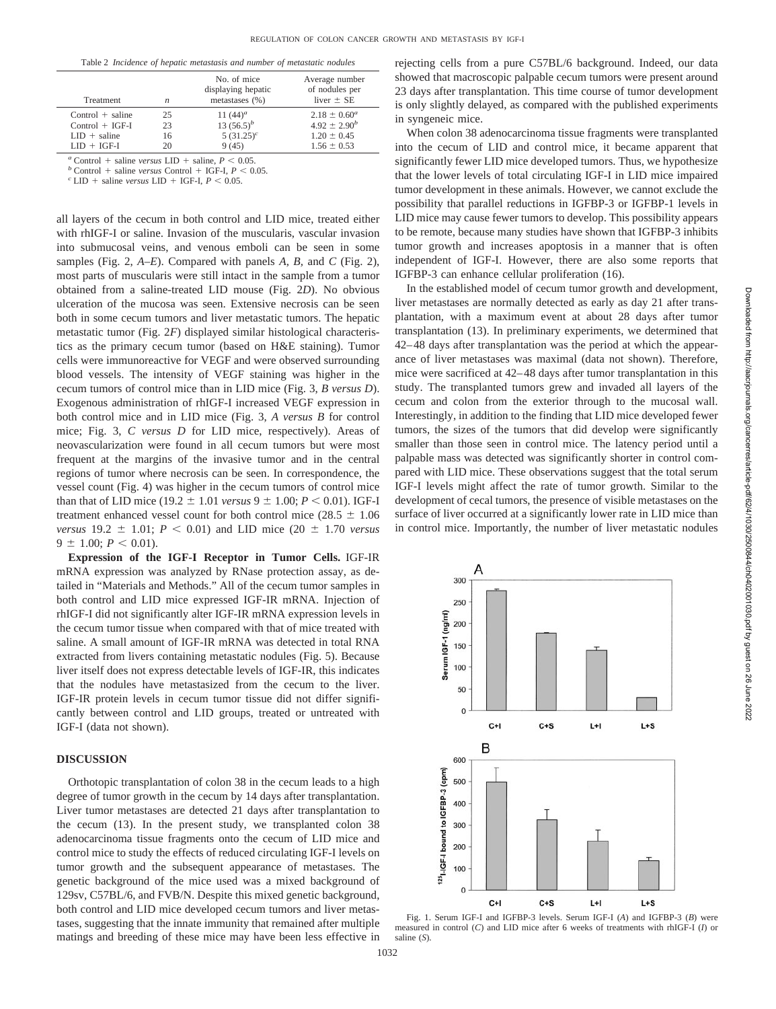| Table 2 Incidence of hepatic metastasis and number of metastatic nodules |  |  |  |  |  |  |
|--------------------------------------------------------------------------|--|--|--|--|--|--|
|--------------------------------------------------------------------------|--|--|--|--|--|--|

| liver $\pm$ SE      |
|---------------------|
| $2.18 \pm 0.60^a$   |
| $4.92 \pm 2.90^{b}$ |
| $1.20 \pm 0.45$     |
| $1.56 \pm 0.53$     |
|                     |

 $a$  Control + saline *versus* LID +  $\binom{a}{b}$  Control + saline *versus* LID + saline,  $P < 0.05$ .<br> *b* Control + saline *versus* Control + IGF-I,  $P < 0$ .

 $^b$  Control + saline *versus* Control + IGF-I,  $P < 0.05$ .<br><sup>*c*</sup> LID + saline *versus* LID + IGF-I,  $P < 0.05$ .

all layers of the cecum in both control and LID mice, treated either with rhIGF-I or saline. Invasion of the muscularis, vascular invasion into submucosal veins, and venous emboli can be seen in some samples (Fig. 2, *A–E*). Compared with panels *A, B,* and *C* (Fig. 2), most parts of muscularis were still intact in the sample from a tumor obtained from a saline-treated LID mouse (Fig. 2*D*). No obvious ulceration of the mucosa was seen. Extensive necrosis can be seen both in some cecum tumors and liver metastatic tumors. The hepatic metastatic tumor (Fig. 2*F*) displayed similar histological characteristics as the primary cecum tumor (based on H&E staining). Tumor cells were immunoreactive for VEGF and were observed surrounding blood vessels. The intensity of VEGF staining was higher in the cecum tumors of control mice than in LID mice (Fig. 3, *B versus D*). Exogenous administration of rhIGF-I increased VEGF expression in both control mice and in LID mice (Fig. 3, *A versus B* for control mice; Fig. 3, *C versus D* for LID mice, respectively). Areas of neovascularization were found in all cecum tumors but were most frequent at the margins of the invasive tumor and in the central regions of tumor where necrosis can be seen. In correspondence, the vessel count (Fig. 4) was higher in the cecum tumors of control mice than that of LID mice (19.2  $\pm$  1.01 *versus* 9  $\pm$  1.00; *P* < 0.01). IGF-I treatment enhanced vessel count for both control mice ( $28.5 \pm 1.06$ ) *versus* 19.2  $\pm$  1.01; *P* < 0.01) and LID mice (20  $\pm$  1.70 *versus*  $9 \pm 1.00$ ;  $P < 0.01$ ).

**Expression of the IGF-I Receptor in Tumor Cells.** IGF-IR mRNA expression was analyzed by RNase protection assay, as detailed in "Materials and Methods." All of the cecum tumor samples in both control and LID mice expressed IGF-IR mRNA. Injection of rhIGF-I did not significantly alter IGF-IR mRNA expression levels in the cecum tumor tissue when compared with that of mice treated with saline. A small amount of IGF-IR mRNA was detected in total RNA extracted from livers containing metastatic nodules (Fig. 5). Because liver itself does not express detectable levels of IGF-IR, this indicates that the nodules have metastasized from the cecum to the liver. IGF-IR protein levels in cecum tumor tissue did not differ significantly between control and LID groups, treated or untreated with IGF-I (data not shown).

# **DISCUSSION**

Orthotopic transplantation of colon 38 in the cecum leads to a high degree of tumor growth in the cecum by 14 days after transplantation. Liver tumor metastases are detected 21 days after transplantation to the cecum (13). In the present study, we transplanted colon 38 adenocarcinoma tissue fragments onto the cecum of LID mice and control mice to study the effects of reduced circulating IGF-I levels on tumor growth and the subsequent appearance of metastases. The genetic background of the mice used was a mixed background of 129sv, C57BL/6, and FVB/N. Despite this mixed genetic background, both control and LID mice developed cecum tumors and liver metastases, suggesting that the innate immunity that remained after multiple matings and breeding of these mice may have been less effective in rejecting cells from a pure C57BL/6 background. Indeed, our data showed that macroscopic palpable cecum tumors were present around 23 days after transplantation. This time course of tumor development is only slightly delayed, as compared with the published experiments in syngeneic mice.

When colon 38 adenocarcinoma tissue fragments were transplanted into the cecum of LID and control mice, it became apparent that significantly fewer LID mice developed tumors. Thus, we hypothesize that the lower levels of total circulating IGF-I in LID mice impaired tumor development in these animals. However, we cannot exclude the possibility that parallel reductions in IGFBP-3 or IGFBP-1 levels in LID mice may cause fewer tumors to develop. This possibility appears to be remote, because many studies have shown that IGFBP-3 inhibits tumor growth and increases apoptosis in a manner that is often independent of IGF-I. However, there are also some reports that IGFBP-3 can enhance cellular proliferation (16).

In the established model of cecum tumor growth and development, liver metastases are normally detected as early as day 21 after transplantation, with a maximum event at about 28 days after tumor transplantation (13). In preliminary experiments, we determined that 42–48 days after transplantation was the period at which the appearance of liver metastases was maximal (data not shown). Therefore, mice were sacrificed at 42–48 days after tumor transplantation in this study. The transplanted tumors grew and invaded all layers of the cecum and colon from the exterior through to the mucosal wall. Interestingly, in addition to the finding that LID mice developed fewer tumors, the sizes of the tumors that did develop were significantly smaller than those seen in control mice. The latency period until a palpable mass was detected was significantly shorter in control compared with LID mice. These observations suggest that the total serum IGF-I levels might affect the rate of tumor growth. Similar to the development of cecal tumors, the presence of visible metastases on the surface of liver occurred at a significantly lower rate in LID mice than in control mice. Importantly, the number of liver metastatic nodules



Fig. 1. Serum IGF-I and IGFBP-3 levels. Serum IGF-I (*A*) and IGFBP-3 (*B*) were measured in control (*C*) and LID mice after 6 weeks of treatments with rhIGF-I (*I*) or saline (*S*).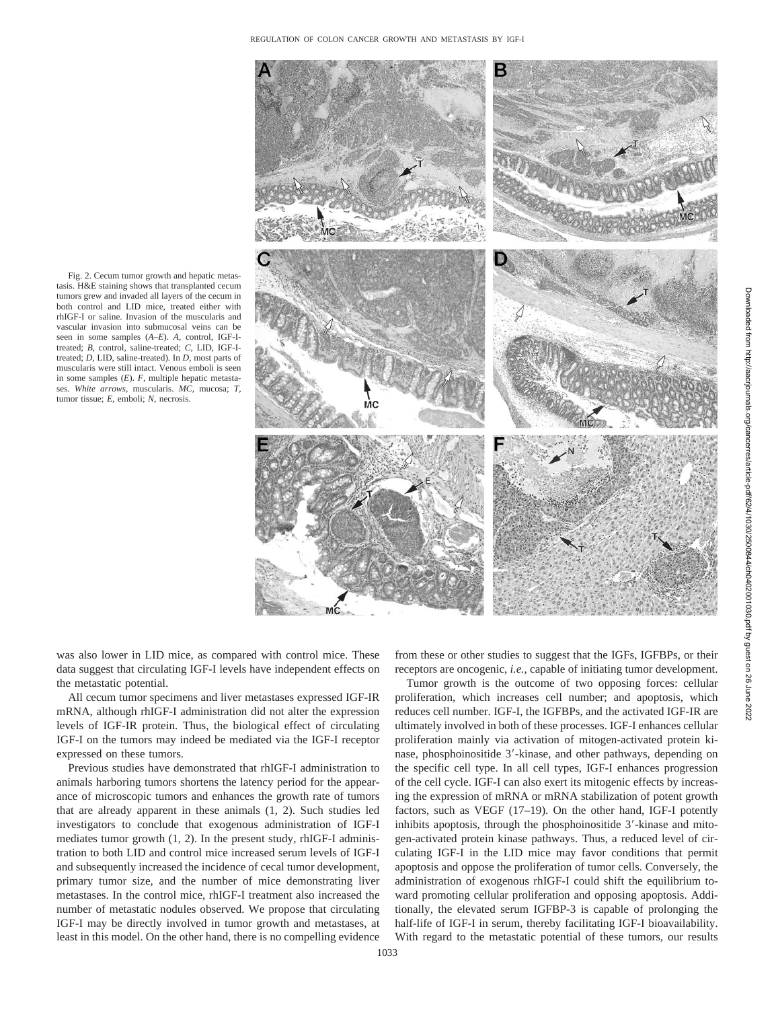Fig. 2. Cecum tumor growth and hepatic metastasis. H&E staining shows that transplanted cecum tumors grew and invaded all layers of the cecum in both control and LID mice, treated either with rhIGF-I or saline. Invasion of the muscularis and vascular invasion into submucosal veins can be seen in some samples (*A–E*). *A,* control, IGF-Itreated; *B,* control, saline-treated; *C,* LID, IGF-Itreated; *D,* LID, saline-treated). In *D,* most parts of muscularis were still intact. Venous emboli is seen in some samples (*E*). *F,* multiple hepatic metastases. *White arrows,* muscularis. *MC,* mucosa; *T,* tumor tissue; *E,* emboli; *N,* necrosis.



was also lower in LID mice, as compared with control mice. These data suggest that circulating IGF-I levels have independent effects on the metastatic potential.

All cecum tumor specimens and liver metastases expressed IGF-IR mRNA, although rhIGF-I administration did not alter the expression levels of IGF-IR protein. Thus, the biological effect of circulating IGF-I on the tumors may indeed be mediated via the IGF-I receptor expressed on these tumors.

Previous studies have demonstrated that rhIGF-I administration to animals harboring tumors shortens the latency period for the appearance of microscopic tumors and enhances the growth rate of tumors that are already apparent in these animals (1, 2). Such studies led investigators to conclude that exogenous administration of IGF-I mediates tumor growth (1, 2). In the present study, rhIGF-I administration to both LID and control mice increased serum levels of IGF-I and subsequently increased the incidence of cecal tumor development, primary tumor size, and the number of mice demonstrating liver metastases. In the control mice, rhIGF-I treatment also increased the number of metastatic nodules observed. We propose that circulating IGF-I may be directly involved in tumor growth and metastases, at least in this model. On the other hand, there is no compelling evidence

from these or other studies to suggest that the IGFs, IGFBPs, or their receptors are oncogenic, *i.e.,* capable of initiating tumor development.

Tumor growth is the outcome of two opposing forces: cellular proliferation, which increases cell number; and apoptosis, which reduces cell number. IGF-I, the IGFBPs, and the activated IGF-IR are ultimately involved in both of these processes. IGF-I enhances cellular proliferation mainly via activation of mitogen-activated protein kinase, phosphoinositide 3'-kinase, and other pathways, depending on the specific cell type. In all cell types, IGF-I enhances progression of the cell cycle. IGF-I can also exert its mitogenic effects by increasing the expression of mRNA or mRNA stabilization of potent growth factors, such as VEGF (17–19). On the other hand, IGF-I potently inhibits apoptosis, through the phosphoinositide 3'-kinase and mitogen-activated protein kinase pathways. Thus, a reduced level of circulating IGF-I in the LID mice may favor conditions that permit apoptosis and oppose the proliferation of tumor cells. Conversely, the administration of exogenous rhIGF-I could shift the equilibrium toward promoting cellular proliferation and opposing apoptosis. Additionally, the elevated serum IGFBP-3 is capable of prolonging the half-life of IGF-I in serum, thereby facilitating IGF-I bioavailability. With regard to the metastatic potential of these tumors, our results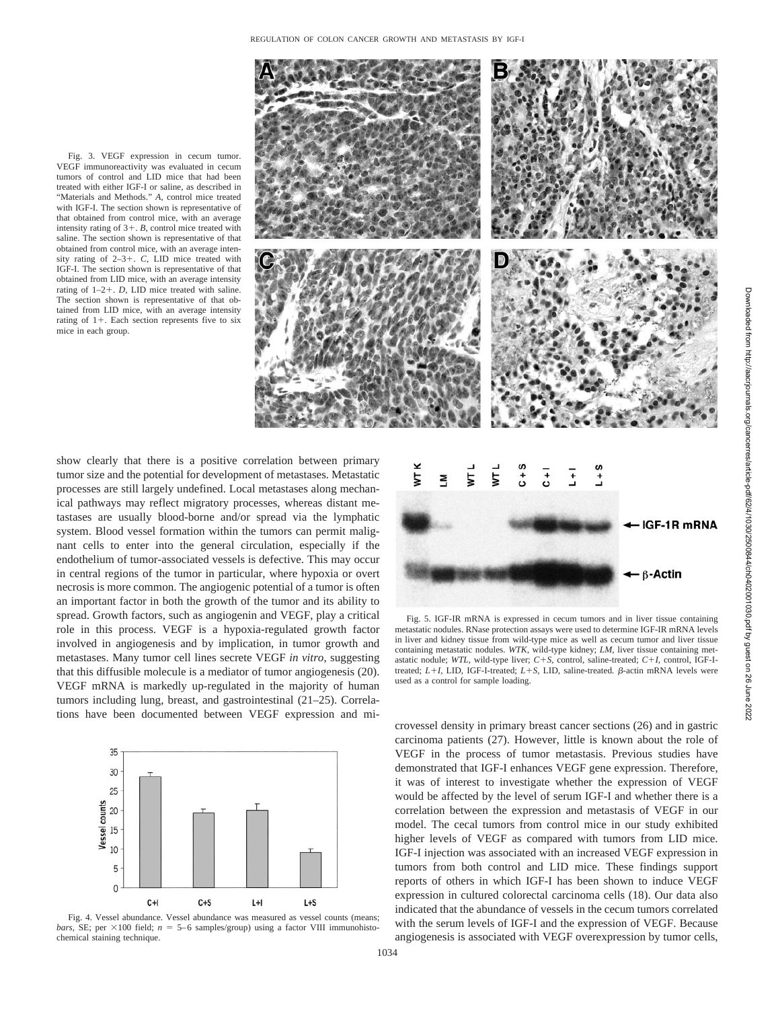Fig. 3. VEGF expression in cecum tumor. VEGF immunoreactivity was evaluated in cecum tumors of control and LID mice that had been treated with either IGF-I or saline, as described in "Materials and Methods." *A,* control mice treated with IGF-I. The section shown is representative of that obtained from control mice, with an average intensity rating of  $3+$ . *B*, control mice treated with saline. The section shown is representative of that obtained from control mice, with an average intensity rating of 2–3-. *C,* LID mice treated with IGF-I. The section shown is representative of that obtained from LID mice, with an average intensity rating of  $1-2+$ . *D*, LID mice treated with saline. The section shown is representative of that obtained from LID mice, with an average intensity rating of  $1+$ . Each section represents five to six mice in each group.



show clearly that there is a positive correlation between primary tumor size and the potential for development of metastases. Metastatic processes are still largely undefined. Local metastases along mechanical pathways may reflect migratory processes, whereas distant metastases are usually blood-borne and/or spread via the lymphatic system. Blood vessel formation within the tumors can permit malignant cells to enter into the general circulation, especially if the endothelium of tumor-associated vessels is defective. This may occur in central regions of the tumor in particular, where hypoxia or overt necrosis is more common. The angiogenic potential of a tumor is often an important factor in both the growth of the tumor and its ability to spread. Growth factors, such as angiogenin and VEGF, play a critical role in this process. VEGF is a hypoxia-regulated growth factor involved in angiogenesis and by implication, in tumor growth and metastases. Many tumor cell lines secrete VEGF *in vitro*, suggesting that this diffusible molecule is a mediator of tumor angiogenesis (20). VEGF mRNA is markedly up-regulated in the majority of human tumors including lung, breast, and gastrointestinal (21–25). Correlations have been documented between VEGF expression and mi-







Fig. 5. IGF-IR mRNA is expressed in cecum tumors and in liver tissue containing metastatic nodules. RNase protection assays were used to determine IGF-IR mRNA levels in liver and kidney tissue from wild-type mice as well as cecum tumor and liver tissue containing metastatic nodules. *WTK,* wild-type kidney; *LM,* liver tissue containing metastatic nodule; *WTL,* wild-type liver; *C*-*S,* control, saline-treated; *C*-*I,* control, IGF-Itreated;  $L+I$ , LID, IGF-I-treated;  $L+S$ , LID, saline-treated.  $\beta$ -actin mRNA levels were used as a control for sample loading.

crovessel density in primary breast cancer sections (26) and in gastric carcinoma patients (27). However, little is known about the role of VEGF in the process of tumor metastasis. Previous studies have demonstrated that IGF-I enhances VEGF gene expression. Therefore, it was of interest to investigate whether the expression of VEGF would be affected by the level of serum IGF-I and whether there is a correlation between the expression and metastasis of VEGF in our model. The cecal tumors from control mice in our study exhibited higher levels of VEGF as compared with tumors from LID mice. IGF-I injection was associated with an increased VEGF expression in tumors from both control and LID mice. These findings support reports of others in which IGF-I has been shown to induce VEGF expression in cultured colorectal carcinoma cells (18). Our data also indicated that the abundance of vessels in the cecum tumors correlated with the serum levels of IGF-I and the expression of VEGF. Because angiogenesis is associated with VEGF overexpression by tumor cells,